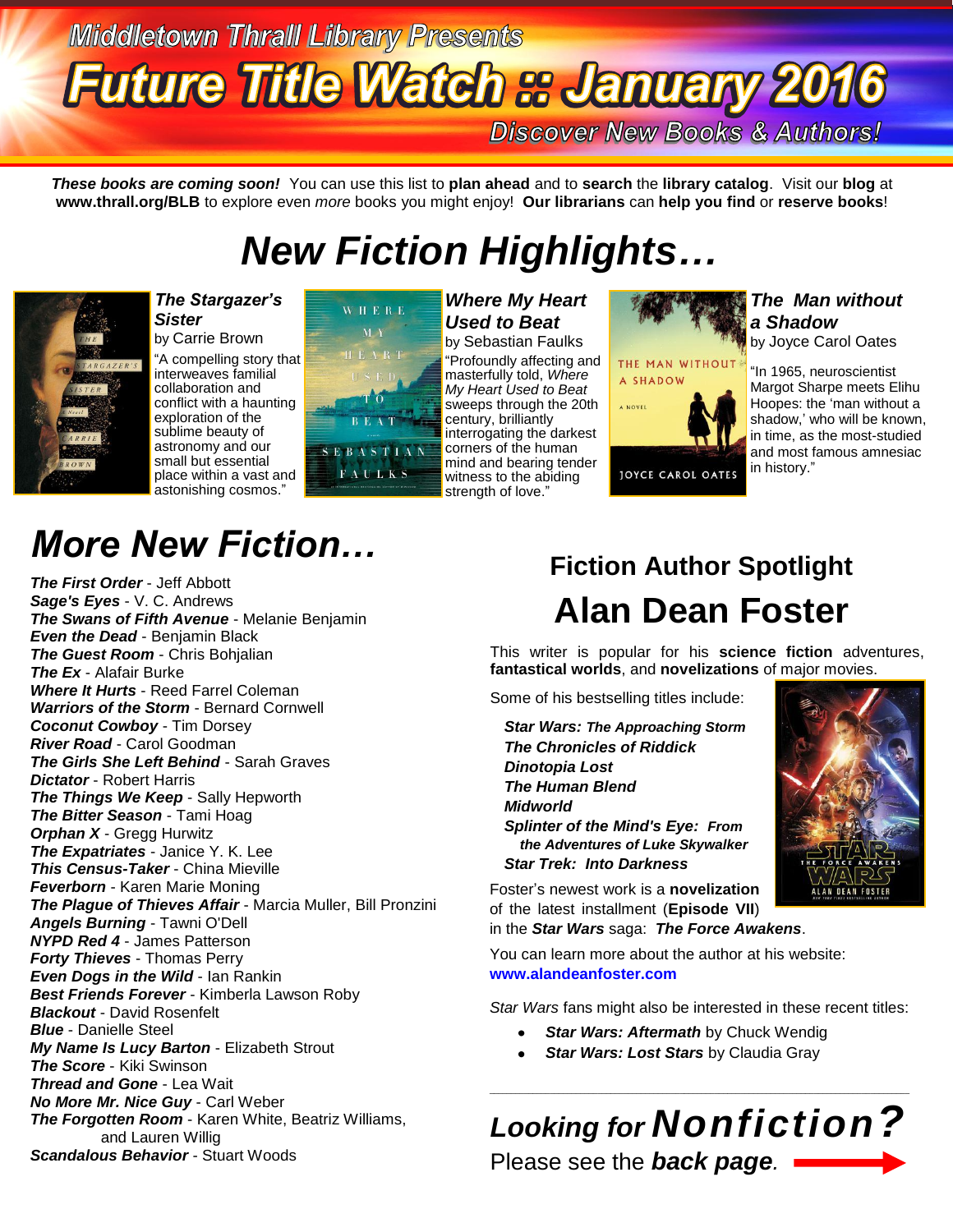# **Middletown Thrall Library Presents Future Title Watch & January 2016**

**Discover New Books & Authors!** 

*These books are coming soon!* You can use this list to **plan ahead** and to **search** the **library catalog**. Visit our **blog** at **www.thrall.org/BLB** to explore even *more* books you might enjoy! **Our librarians** can **help you find** or **reserve books**!

# *New Fiction Highlights…*



*The Stargazer's Sister* by Carrie Brown "A compelling story that interweaves familial collaboration and conflict with a haunting exploration of the sublime beauty of astronomy and our small but essential

place within a vast and astonishing cosmos."



*Where My Heart Used to Beat*  by Sebastian Faulks "Profoundly affecting and masterfully told, *Where My Heart Used to Beat* sweeps through the 20th century, brilliantly interrogating the darkest corners of the human mind and bearing tender witness to the abiding strength of love."

THE MAN WITHOUT A SHADOW A NOVEL JOYCE CAROL OATES

#### *The Man without a Shadow*

by Joyce Carol Oates

"In 1965, neuroscientist Margot Sharpe meets Elihu Hoopes: the 'man without a shadow,' who will be known, in time, as the most-studied and most famous amnesiac in history."

# *More New Fiction…*

*The First Order* - Jeff Abbott *Sage's Eyes* - V. C. Andrews *The Swans of Fifth Avenue* - Melanie Benjamin *Even the Dead* - Benjamin Black *The Guest Room* - Chris Bohjalian *The Ex* - Alafair Burke *Where It Hurts* - Reed Farrel Coleman *Warriors of the Storm* - Bernard Cornwell *Coconut Cowboy* - Tim Dorsey *River Road* - Carol Goodman *The Girls She Left Behind* - Sarah Graves *Dictator* - Robert Harris *The Things We Keep* - Sally Hepworth *The Bitter Season* - Tami Hoag *Orphan X* - Gregg Hurwitz *The Expatriates* - Janice Y. K. Lee *This Census-Taker* - China Mieville *Feverborn* - Karen Marie Moning *The Plague of Thieves Affair* - Marcia Muller, Bill Pronzini *Angels Burning* - Tawni O'Dell *NYPD Red 4* - James Patterson *Forty Thieves* - Thomas Perry *Even Dogs in the Wild* - Ian Rankin *Best Friends Forever* - Kimberla Lawson Roby *Blackout* - David Rosenfelt *Blue* - Danielle Steel *My Name Is Lucy Barton* - Elizabeth Strout *The Score* - Kiki Swinson *Thread and Gone* - Lea Wait *No More Mr. Nice Guy* - Carl Weber *The Forgotten Room* - Karen White, Beatriz Williams, and Lauren Willig *Scandalous Behavior* - Stuart Woods

## **Fiction Author Spotlight Alan Dean Foster**

This writer is popular for his **science fiction** adventures, **fantastical worlds**, and **novelizations** of major movies.

Some of his bestselling titles include:

*Star Wars: The Approaching Storm The Chronicles of Riddick Dinotopia Lost The Human Blend Midworld Splinter of the Mind's Eye: From the Adventures of Luke Skywalker Star Trek: Into Darkness*



Foster's newest work is a **novelization** of the latest installment (**Episode VII**) in the *Star Wars* saga: *The Force Awakens*.

You can learn more about the author at his website: **[www.alandeanfoster.com](http://www.alandeanfoster.com/)**

*Star Wars* fans might also be interested in these recent titles:

- $\bullet$ *Star Wars: Aftermath* by Chuck Wendig
- *Star Wars: Lost Stars* by Claudia Gray